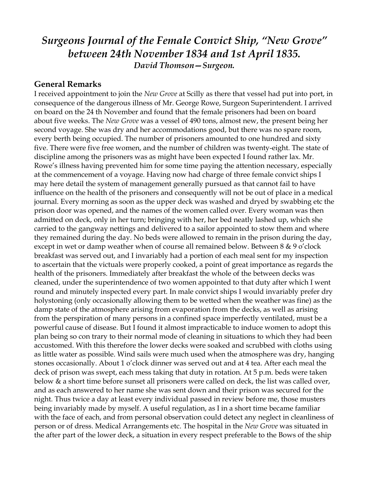## *Surgeons Journal of the Female Convict Ship, "New Grove" between 24th November 1834 and 1st April 1835. David Thomson—Surgeon.*

## **General Remarks**

I received appointment to join the *New Grove* at Scilly as there that vessel had put into port, in consequence of the dangerous illness of Mr. George Rowe, Surgeon Superintendent. I arrived on board on the 24 th November and found that the female prisoners had been on board about five weeks. The *New Grove* was a vessel of 490 tons, almost new, the present being her second voyage. She was dry and her accommodations good, but there was no spare room, every berth being occupied. The number of prisoners amounted to one hundred and sixty five. There were five free women, and the number of children was twenty-eight. The state of discipline among the prisoners was as might have been expected I found rather lax. Mr. Rowe's illness having prevented him for some time paying the attention necessary, especially at the commencement of a voyage. Having now had charge of three female convict ships I may here detail the system of management generally pursued as that cannot fail to have influence on the health of the prisoners and consequently will not be out of place in a medical journal. Every morning as soon as the upper deck was washed and dryed by swabbing etc the prison door was opened, and the names of the women called over. Every woman was then admitted on deck, only in her turn; bringing with her, her bed neatly lashed up, which she carried to the gangway nettings and delivered to a sailor appointed to stow them and where they remained during the day. No beds were allowed to remain in the prison during the day, except in wet or damp weather when of course all remained below. Between 8 & 9 o'clock breakfast was served out, and I invariably had a portion of each meal sent for my inspection to ascertain that the victuals were properly cooked, a point of great importance as regards the health of the prisoners. Immediately after breakfast the whole of the between decks was cleaned, under the superintendence of two women appointed to that duty after which I went round and minutely inspected every part. In male convict ships I would invariably prefer dry holystoning (only occasionally allowing them to be wetted when the weather was fine) as the damp state of the atmosphere arising from evaporation from the decks, as well as arising from the perspiration of many persons in a confined space imperfectly ventilated, must be a powerful cause of disease. But I found it almost impracticable to induce women to adopt this plan being so con trary to their normal mode of cleaning in situations to which they had been accustomed. With this therefore the lower decks were soaked and scrubbed with cloths using as little water as possible. Wind sails were much used when the atmosphere was dry, hanging stones occasionally. About 1 o'clock dinner was served out and at 4 tea. After each meal the deck of prison was swept, each mess taking that duty in rotation. At 5 p.m. beds were taken below & a short time before sunset all prisoners were called on deck, the list was called over, and as each answered to her name she was sent down and their prison was secured for the night. Thus twice a day at least every individual passed in review before me, those musters being invariably made by myself. A useful regulation, as I in a short time became familiar with the face of each, and from personal observation could detect any neglect in cleanliness of person or of dress. Medical Arrangements etc. The hospital in the *New Grove* was situated in the after part of the lower deck, a situation in every respect preferable to the Bows of the ship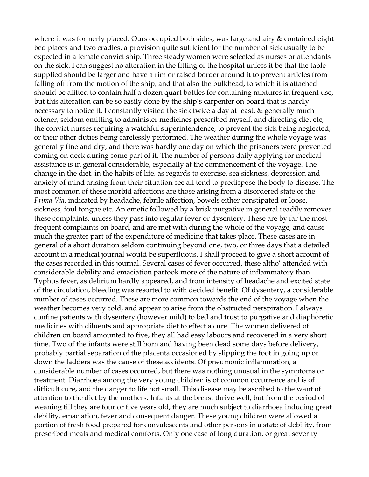where it was formerly placed. Ours occupied both sides, was large and airy & contained eight bed places and two cradles, a provision quite sufficient for the number of sick usually to be expected in a female convict ship. Three steady women were selected as nurses or attendants on the sick. I can suggest no alteration in the fitting of the hospital unless it be that the table supplied should be larger and have a rim or raised border around it to prevent articles from falling off from the motion of the ship, and that also the bulkhead, to which it is attached should be afitted to contain half a dozen quart bottles for containing mixtures in frequent use, but this alteration can be so easily done by the ship's carpenter on board that is hardly necessary to notice it. I constantly visited the sick twice a day at least, & generally much oftener, seldom omitting to administer medicines prescribed myself, and directing diet etc, the convict nurses requiring a watchful superintendence, to prevent the sick being neglected, or their other duties being carelessly performed. The weather during the whole voyage was generally fine and dry, and there was hardly one day on which the prisoners were prevented coming on deck during some part of it. The number of persons daily applying for medical assistance is in general considerable, especially at the commencement of the voyage. The change in the diet, in the habits of life, as regards to exercise, sea sickness, depression and anxiety of mind arising from their situation see all tend to predispose the body to disease. The most common of these morbid affections are those arising from a disordered state of the *Prima Via*, indicated by headache, febrile affection, bowels either constipated or loose, sickness, foul tongue etc. An emetic followed by a brisk purgative in general readily removes these complaints, unless they pass into regular fever or dysentery. These are by far the most frequent complaints on board, and are met with during the whole of the voyage, and cause much the greater part of the expenditure of medicine that takes place. These cases are in general of a short duration seldom continuing beyond one, two, or three days that a detailed account in a medical journal would be superfluous. I shall proceed to give a short account of the cases recorded in this journal. Several cases of fever occurred, these altho' attended with considerable debility and emaciation partook more of the nature of inflammatory than Typhus fever, as delirium hardly appeared, and from intensity of headache and excited state of the circulation, bleeding was resorted to with decided benefit. Of dysentery, a considerable number of cases occurred. These are more common towards the end of the voyage when the weather becomes very cold, and appear to arise from the obstructed perspiration. I always confine patients with dysentery (however mild) to bed and trust to purgative and diaphoretic medicines with diluents and appropriate diet to effect a cure. The women delivered of children on board amounted to five, they all had easy labours and recovered in a very short time. Two of the infants were still born and having been dead some days before delivery, probably partial separation of the placenta occasioned by slipping the foot in going up or down the ladders was the cause of these accidents. Of pneumonic inflammation, a considerable number of cases occurred, but there was nothing unusual in the symptoms or treatment. Diarrhoea among the very young children is of common occurrence and is of difficult cure, and the danger to life not small. This disease may be ascribed to the want of attention to the diet by the mothers. Infants at the breast thrive well, but from the period of weaning till they are four or five years old, they are much subject to diarrhoea inducing great debility, emaciation, fever and consequent danger. These young children were allowed a portion of fresh food prepared for convalescents and other persons in a state of debility, from prescribed meals and medical comforts. Only one case of long duration, or great severity